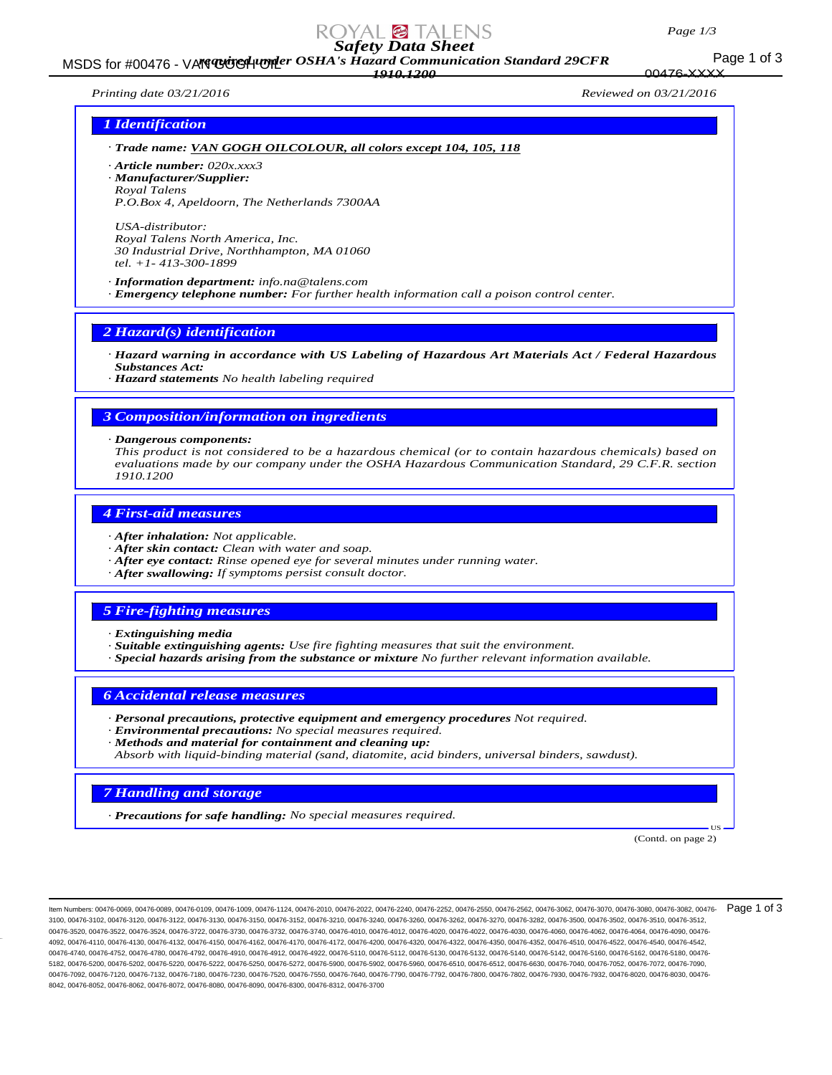#### *Page 1/3*

176-XXXX

# *Safety Data Sheet*

Page 1 of 3 MSDS for #00476 - VAN GOGH UPP OSHA's Hazard Communication Standard 29CFR *1910.1200*

*Printing date 03/21/2016 Reviewed on 03/21/2016*

## *1 Identification*

- *· Trade name: VAN GOGH OILCOLOUR, all colors except 104, 105, 118*
- *· Article number: 020x.xxx3*
- *· Manufacturer/Supplier:*
- *Royal Talens P.O.Box 4, Apeldoorn, The Netherlands 7300AA*

*USA-distributor: Royal Talens North America, Inc. 30 Industrial Drive, Northhampton, MA 01060 tel. +1- 413-300-1899*

*· Information department: info.na@talens.com · Emergency telephone number: For further health information call a poison control center.*

### *2 Hazard(s) identification*

*· Hazard warning in accordance with US Labeling of Hazardous Art Materials Act / Federal Hazardous Substances Act:*

*· Hazard statements No health labeling required*

# *3 Composition/information on ingredients*

#### *· Dangerous components:*

*This product is not considered to be a hazardous chemical (or to contain hazardous chemicals) based on evaluations made by our company under the OSHA Hazardous Communication Standard, 29 C.F.R. section 1910.1200*

### *4 First-aid measures*

- *· After inhalation: Not applicable.*
- *· After skin contact: Clean with water and soap.*
- *· After eye contact: Rinse opened eye for several minutes under running water.*
- *· After swallowing: If symptoms persist consult doctor.*

### *5 Fire-fighting measures*

- *· Extinguishing media*
- *· Suitable extinguishing agents: Use fire fighting measures that suit the environment.*
- *· Special hazards arising from the substance or mixture No further relevant information available.*

### *6 Accidental release measures*

- *· Personal precautions, protective equipment and emergency procedures Not required.*
- *· Environmental precautions: No special measures required.*
- *· Methods and material for containment and cleaning up:*
- *Absorb with liquid-binding material (sand, diatomite, acid binders, universal binders, sawdust).*

### *7 Handling and storage*

*· Precautions for safe handling: No special measures required.*

(Contd. on page 2)

US

Item Numbers: 00476-0069, 00476-0089, 00476-0109, 00476-1009, 00476-1124, 00476-2010, 00476-2022, 00476-2240, 00476-2252, 00476-2550, 00476-2562, 00476-3062, 00476-3070, 00476-3080, 00476-3082, 00476- 3100, 00476-3102, 00476-3120, 00476-3122, 00476-3130, 00476-3150, 00476-3152, 00476-3210, 00476-3240, 00476-3260, 00476-3262, 00476-3270, 00476-3282, 00476-3500, 00476-3502, 00476-3510, 00476-3512, 00476-3520, 00476-3522, 00476-3524, 00476-3722, 00476-3730, 00476-3732, 00476-3732, 00476-4010, 00476-4012, 00476-4020, 00476-4022, 00476-4030, 00476-4050, 00476-4060, 00476-4062, 00476-4060, 00476-4062, 00476-4060, 00476-4 4092, 00476-4110, 00476-4130, 00476-4132, 00476-4150, 00476-4162, 00476-4170, 00476-4200, 00476-4320, 00476-4320, 00476-4320, 00476-4350, 00476-452, 00476-4510, 00476-4522, 00476-4540, 00476-452, 00476-4540, 00476-4542, 004 00476-4740, 00476-4752, 00476-4780, 00476-4792, 00476-4910, 00476-4912, 00476-51510, 00476-5112, 00476-5130, 00476-5132, 00476-5140, 00476-5142, 00476-5160, 00476-5160, 00476-5162, 00476-5182, 00476-5160, 00476-5182, 00476-5182, 00476-5200, 00476-5202, 00476-5220, 00476-5222, 00476-5250, 00476-5272, 00476-5900, 00476-5902, 00476-5960, 00476-6510, 00476-6512, 00476-6630, 00476-7040, 00476-7052, 00476-7072, 00476-7090, 00476-7092, 00476-7120, 00476-7132, 00476-7180, 00476-7520, 00476-7520, 00476-7550, 00476-7640, 00476-7790, 00476-7792, 00476-7800, 00476-7802, 00476-7930, 00476-7932, 00476-8030, 00476-8030, 00476 8042, 00476-8052, 00476-8062, 00476-8072, 00476-8080, 00476-8090, 00476-8300, 00476-8312, 00476-3700 Page 1 of 3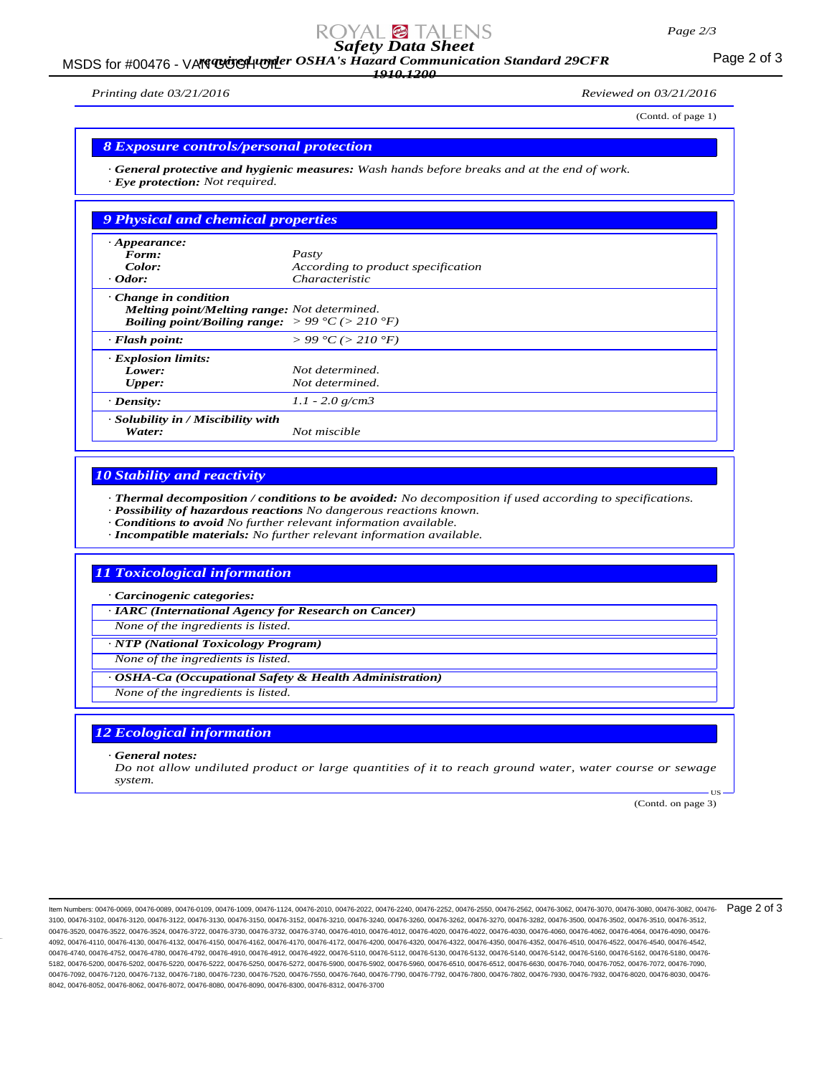#### *Page 2/3*

# *Safety Data Sheet*

MSDS for #00476 - VAN GUGH UNDER OSHA's Hazard Communication Standard 29CFR<br>MSDS for #00476 - VAN GUGH UNDER OSHA's Hazard Communication Standard 29CFR *1910.1200*

*Printing date 03/21/2016 Reviewed on 03/21/2016*

(Contd. of page 1)

# *8 Exposure controls/personal protection*

*· General protective and hygienic measures: Wash hands before breaks and at the end of work. · Eye protection: Not required.*

| 9 Physical and chemical properties                                                                                                                        |                                        |
|-----------------------------------------------------------------------------------------------------------------------------------------------------------|----------------------------------------|
| $\cdot$ Appearance:                                                                                                                                       |                                        |
| Form:                                                                                                                                                     | Pasty                                  |
| Color:                                                                                                                                                    | According to product specification     |
| $\cdot$ Odor:                                                                                                                                             | <i>Characteristic</i>                  |
| $\cdot$ Change in condition<br>Melting point/Melting range: Not determined.<br><b>Boiling point/Boiling range:</b> $> 99 \degree C$ ( $> 210 \degree F$ ) |                                        |
| $\cdot$ Flash point:                                                                                                                                      | $> 99 \degree C$ ( $> 210 \degree F$ ) |
| <b>Explosion limits:</b>                                                                                                                                  |                                        |
| Lower:                                                                                                                                                    | Not determined.                        |
| <b>Upper:</b>                                                                                                                                             | Not determined.                        |
| $\cdot$ Density:                                                                                                                                          | $1.1 - 2.0$ g/cm3                      |
| · Solubility in / Miscibility with<br>Water:                                                                                                              | Not miscible                           |

# *10 Stability and reactivity*

*· Thermal decomposition / conditions to be avoided: No decomposition if used according to specifications.*

- *· Possibility of hazardous reactions No dangerous reactions known.*
- *· Conditions to avoid No further relevant information available.*
- *· Incompatible materials: No further relevant information available.*

# *11 Toxicological information*

*· Carcinogenic categories:*

*· IARC (International Agency for Research on Cancer)*

*None of the ingredients is listed.*

*· NTP (National Toxicology Program)*

*None of the ingredients is listed.*

*· OSHA-Ca (Occupational Safety & Health Administration)*

*None of the ingredients is listed.*

# *12 Ecological information*

*· General notes:*

*Do not allow undiluted product or large quantities of it to reach ground water, water course or sewage system.*

(Contd. on page 3)

US

ltem Numbers: 00476-0069, 00476-0089, 00476-0109, 00476-1009, 00476-1124, 00476-2010, 00476-2022, 00476-2240, 00476-2252, 00476-2550, 00476-2562, 00476-3062, 00476-3070, 00476-3080, 00476-3080, 00476-3082, 00476-3080, 0047 3100, 00476-3102, 00476-3120, 00476-3122, 00476-3130, 00476-3150, 00476-3152, 00476-3210, 00476-3240, 00476-3260, 00476-3262, 00476-3270, 00476-3282, 00476-3500, 00476-3502, 00476-3510, 00476-3512, 00476-3520, 00476-3522, 00476-3524, 00476-3722, 00476-3730, 00476-3742, 00476-4010, 00476-4012, 00476-4020, 00476-402, 00476-4030, 00476-4060, 00476-4062, 00476-4064, 00476-4060, 00476-402, 00476-4060, 00476-4060, 00476-406 4092, 00476-4110, 00476-4130, 00476-4132, 00476-4150, 00476-4162, 00476-4170, 00476-4172, 00476-4200, 00476-4320, 00476-4322, 00476-4350, 00476-4352, 00476-4510, 00476-4522, 00476-4540, 00476-4542, 00476-4740, 00476-4752, 00476-4780, 00476-4792, 00476-4910, 00476-4912, 00476-51510, 00476-5112, 00476-5130, 00476-5132, 00476-5140, 00476-5142, 00476-5160, 00476-5160, 00476-5162, 00476-5182, 00476-5160, 00476-5182, 00476-5182, 00476-5200, 00476-5202, 00476-5220, 00476-5222, 00476-5250, 00476-5272, 00476-5900, 00476-5902, 00476-5960, 00476-6510, 00476-6512, 00476-6630, 00476-7040, 00476-7052, 00476-7072, 00476-7090, 00476-7092, 00476-7120, 00476-7132, 00476-7180, 00476-7520, 00476-7520, 00476-7550, 00476-7640, 00476-7790, 00476-7792, 00476-7800, 00476-7802, 00476-7930, 00476-7932, 00476-8020, 00476-8030, 00476-7930, 00476-8030, 00476-8 8042, 00476-8052, 00476-8062, 00476-8072, 00476-8080, 00476-8090, 00476-8300, 00476-8312, 00476-3700